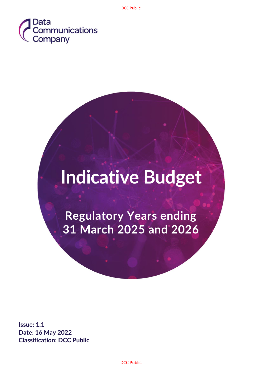

# **Indicative Budget**

**Regulatory Years ending 31 March 2025 and 2026**

**Issue: 1.1 Date: 16 May 2022 Classification: DCC Public**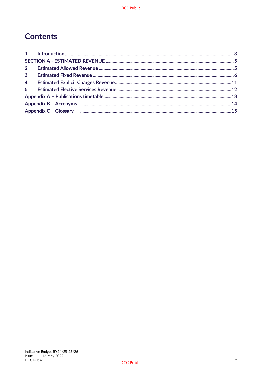# **Contents**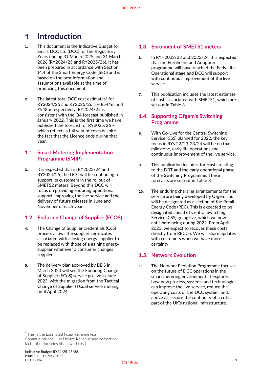# <span id="page-2-0"></span>**1 Introduction**

- **1.** This document is the Indicative Budget for Smart DCC Ltd (DCC) for the Regulatory Years ending 31 March 2025 and 31 March 2026 (RY2024/25 and RY2025/26). It has been prepared in accordance with Section J4.4 of the Smart Energy Code (SEC) and is based on the best information and assumptions available at the time of producing this document.
- **2.** The latest total DCC cost estimates $1$  for RY2024/25 and RY2025/26 are £544m and £548m respectively. RY2024/25 is consistent with the Q4 forecast published in January 2022. This is the first time we have published the forecast for RY2025/26 – which reflects a full year of costs despite the fact that the Licence ends during that year.

#### **1.1. Smart Metering Implementation Programme (SMIP)**

**3.** It is expected that in RY2023/24 and RY2024/25, the DCC will be continuing to support its customers in the rollout of SMETS2 meters. Beyond this DCC will focus on providing enduring operational support, improving the live service and the delivery of future releases in June and November of each year.

#### **1.2. Enduring Change of Supplier (ECOS)**

- **4.** The Change of Supplier credentials (CoS) process allows the supplier certificates associated with a losing energy supplier to be replaced with those of a gaining energy supplier whenever a consumer changes supplier.
- **5.** The delivery plan approved by BEIS in March 2020 will see the Enduring Change of Supplier (ECoS) service go-live in June 2023, with the migration from the Tactical Change of Supplier (TCoS) service running until April 2024.

#### **1.3. Enrolment of SMETS1 meters**

- **6.** In RYs 2022/23 and 2023/24, it is expected that the Enrolment and Adoption programme will have reached the Early Life Operational stage and DCC will support with continuous improvement of the live service.
- **7.** This publication includes the latest estimate of costs associated with SMETS1, which are set out in Table 3.

#### **1.4. Supporting Ofgem's Switching Programme**

- **8.** With Go-Live for the Central Switching Service (CSS) planned for 2022, the key focus in RYs 22/23-23/24 will be on that milestone, early life operations and continuous improvement of the live service.
- **9.** This publication includes forecasts relating to the DBT and the early operational phase of the Switching Programme. These forecasts are set out in Table 3.
- **10.** The enduring charging arrangements for the service are being developed by Ofgem and will be designated as a section of the Retail Energy Code (REC). This is expected to be designated ahead of Central Switching Service (CSS) going live, which we now anticipate being during 2022. From April 2023, we expect to recover these costs directly from RECCo. We will share updates with customers when we have more certainty.

#### **1.5. Network Evolution**

**11.** The Network Evolution Programme focuses on the future of DCC operations in the smart metering environment. It explores how new process, systems and technologies can improve the live service, reduce the operating costs of the DCC system, and, above all, secure the continuity of a critical part of the UK's national infrastructure.

<sup>1</sup> This is the Estimated Fixed Revenue less Communications Hub Device Revenue and correction factor (but includes disallowed cost)

Indicative Budget RY24/25-25/26 Issue 1.1 – 16 May 2022 DCC Public 3 and 3 and 3 and 3 and 3 and 3 and 3 and 3 and 3 and 3 and 3 and 3 and 3 and 3 and 3 and 3 and 3 and 3 and 3 and 3 and 3 and 3 and 3 and 3 and 3 and 3 and 3 and 3 and 3 and 3 and 3 and 3 and 3 and 3 and 3 and 3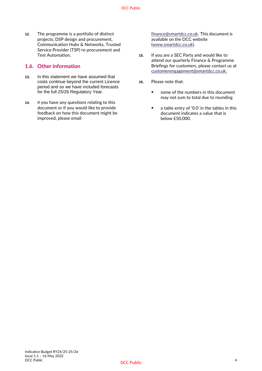**12.** The programme is a portfolio of distinct projects; DSP design and procurement, Communication Hubs & Networks, Trusted Service Provider (TSP) re-procurement and Test Automation.

#### **1.6. Other information**

- **13.** In this statement we have assumed that costs continue beyond the current Licence period and so we have included forecasts for the full 25/26 Regulatory Year.
- **14.** If you have any questions relating to this document or if you would like to provide feedback on how this document might be improved, please email

[finance@smartdcc.co.uk.](mailto:finance@smartdcc.co.uk,) This document is available on the DCC website [\(www.smartdcc.co.uk\)](http://www.smartdcc.co.uk/).

- **15.** If you are a SEC Party and would like to attend our quarterly Finance & Programme Briefings for customers, please contact us at [customerengagement@smartdcc.co.uk.](mailto:customerengagement@smartdcc.co.uk)
- **16.** Please note that:
	- some of the numbers in this document may not sum to total due to rounding
	- a table entry of '0.0' in the tables in this document indicates a value that is below £50,000.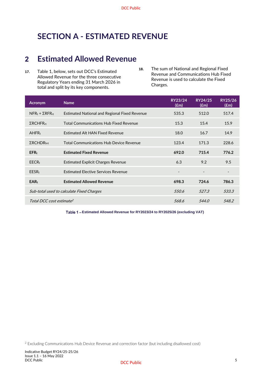# <span id="page-4-0"></span>**SECTION A - ESTIMATED REVENUE**

# <span id="page-4-1"></span>**2 Estimated Allowed Revenue**

- **17.** Table 1, below, sets out DCC's Estimated Allowed Revenue for the three consecutive Regulatory Years ending 31 March 2026 in total and split by its key components.
- **18.** The sum of National and Regional Fixed Revenue and Communications Hub Fixed Revenue is used to calculate the Fixed Charges.

| <b>Acronym</b>                            | <b>Name</b>                                          | RY23/24<br>$(\text{fm})$ | RY24/25<br>$(\text{Em})$ | RY25/26<br>$(\text{fm})$ |
|-------------------------------------------|------------------------------------------------------|--------------------------|--------------------------|--------------------------|
| $NFR_t + \Sigma RFR_{rt}$                 | <b>Estimated National and Regional Fixed Revenue</b> | 535.3                    | 512.0                    | 517.4                    |
| $\Sigma$ RCHFR <sub>rt</sub>              | <b>Total Communications Hub Fixed Revenue</b>        | 15.3                     | 15.4                     | 15.9                     |
| AHFR <sub>t</sub>                         | <b>Estimated Alt HAN Fixed Revenue</b>               | 18.0                     | 16.7                     | 14.9                     |
| $\Sigma$ RCHDR <sub>hrt</sub>             | <b>Total Communications Hub Device Revenue</b>       | 123.4                    | 171.3                    | 228.6                    |
| EFR <sub>t</sub>                          | <b>Estimated Fixed Revenue</b>                       | 692.0                    | 715.4                    | 776.2                    |
| $EECR_t$                                  | Estimated Explicit Charges Revenue                   | 6.3                      | 9.2                      | 9.5                      |
| $EESR_t$                                  | <b>Estimated Elective Services Revenue</b>           |                          |                          |                          |
| $EAR_t$                                   | <b>Estimated Allowed Revenue</b>                     | 698.3                    | 724.6                    | 786.3                    |
| Sub-total used to calculate Fixed Charges | 550.6                                                | 527.3                    | 533.3                    |                          |
| Total DCC cost estimate <sup>2</sup>      |                                                      | 568.6                    | 544.0                    | 548.2                    |

**Estimated Allowed Revenue for RY2023/24 to RY2025/26 (excluding VAT)**

<sup>2</sup> Excluding Communications Hub Device Revenue and correction factor (but including disallowed cost)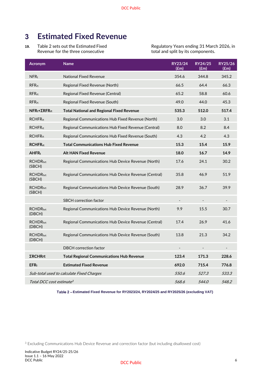# <span id="page-5-0"></span>**3 Estimated Fixed Revenue**

**19.** Table 2 sets out the Estimated Fixed Revenue for the three consecutive

Regulatory Years ending 31 March 2026, in total and split by its components.

| <b>Acronym</b>                            | <b>Name</b>                                          | RY23/24<br>$(\text{Em})$ | RY24/25<br>$(\text{Em})$ | RY25/26<br>(fem) |
|-------------------------------------------|------------------------------------------------------|--------------------------|--------------------------|------------------|
| NFR <sub>t</sub>                          | <b>National Fixed Revenue</b>                        | 354.6                    | 344.8                    | 345.2            |
| RFR <sub>rt</sub>                         | Regional Fixed Revenue (North)                       | 66.5                     | 64.4                     | 66.3             |
| RFR <sub>rt</sub>                         | Regional Fixed Revenue (Central)                     | 65.2                     | 58.8                     | 60.6             |
| $RFR$ <sub>rt</sub>                       | Regional Fixed Revenue (South)                       | 49.0                     | 44.0                     | 45.3             |
| $NFRt+\SigmaRFRrt$                        | <b>Total National and Regional Fixed Revenue</b>     | 535.3                    | 512.0                    | 517.4            |
| <b>RCHFR<sub>rt</sub></b>                 | Regional Communications Hub Fixed Revenue (North)    | 3.0                      | 3.0                      | 3.1              |
| <b>RCHFRrt</b>                            | Regional Communications Hub Fixed Revenue (Central)  | 8.0                      | 8.2                      | 8.4              |
| RCHFR <sub>rt</sub>                       | Regional Communications Hub Fixed Revenue (South)    | 4.3                      | 4.2                      | 4.3              |
| <b>RCHFR<sub>rt</sub></b>                 | <b>Total Communications Hub Fixed Revenue</b>        | 15.3                     | 15.4                     | 15.9             |
| AHFR <sub>t</sub>                         | <b>Alt HAN Fixed Revenue</b>                         | 18.0                     | 16.7                     | 14.9             |
| <b>RCHDR</b> hrt<br>(SBCH)                | Regional Communications Hub Device Revenue (North)   | 17.6                     | 24.1                     | 30.2             |
| RCHDR <sub>hrt</sub><br>(SBCH)            | Regional Communications Hub Device Revenue (Central) | 35.8                     | 46.9                     | 51.9             |
| <b>RCHDRhrt</b><br>(SBCH)                 | Regional Communications Hub Device Revenue (South)   | 28.9                     | 36.7                     | 39.9             |
|                                           | <b>SBCH</b> correction factor                        |                          |                          |                  |
| <b>RCHDR</b> hrt<br>(DBCH)                | Regional Communications Hub Device Revenue (North)   | 9.9                      | 15.5                     | 30.7             |
| <b>RCHDR</b> hrt<br>(DBCH)                | Regional Communications Hub Device Revenue (Central) | 17.4                     | 26.9                     | 41.6             |
| RCHDR <sub>hrt</sub><br>(DBCH)            | Regional Communications Hub Device Revenue (South)   | 13.8                     | 21.3                     | 34.2             |
|                                           | <b>DBCH</b> correction factor                        |                          |                          |                  |
| <b>ΣRCHRrt</b>                            | <b>Total Regional Communications Hub Revenue</b>     | 123.4                    | 171.3                    | 228.6            |
| EFR <sub>t</sub>                          | <b>Estimated Fixed Revenue</b>                       | 692.0                    | 715.4                    | 776.8            |
| Sub-total used to calculate Fixed Charges | 550.6                                                | 527.3                    | 533.3                    |                  |
| Total DCC cost estimate <sup>3</sup>      | 568.6                                                | 544.0                    | 548.2                    |                  |

**Estimated Fixed Revenue for RY2023/24, RY2024/25 and RY2025/26 (excluding VAT)**

<sup>3</sup> Excluding Communications Hub Device Revenue and correction factor (but including disallowed cost)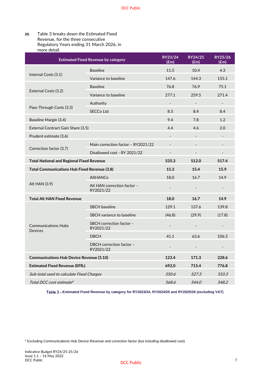| <b>Estimated Fixed Revenue by category</b>       | RY23/24<br>$(\text{Em})$                 | RY24/25<br>$(\text{fm})$ | RY25/26<br>$(\text{fm})$ |                          |
|--------------------------------------------------|------------------------------------------|--------------------------|--------------------------|--------------------------|
|                                                  | <b>Baseline</b>                          | 11.5                     | 10.4                     | 4.3                      |
| Internal Costs (3.1)                             | Variance to baseline                     | 147.6                    | 144.3                    | 155.1                    |
|                                                  | <b>Baseline</b>                          | 76.8                     | 76.9                     | 75.1                     |
| External Costs (3.2)                             | Variance to baseline                     | 277.1                    | 259.5                    | 271.4                    |
|                                                  | Authority                                | $\overline{\phantom{a}}$ | $\overline{\phantom{a}}$ | $\overline{\phantom{a}}$ |
| Pass-Through Costs (3.3)                         | <b>SECCo Ltd</b>                         | 8.5                      | 8.4                      | 8.4                      |
| Baseline Margin (3.4)                            |                                          | 9.4                      | 7.8                      | 1.2                      |
| External Contract Gain Share (3.5)               |                                          | 4.4                      | 4.6                      | 2.0                      |
| Prudent estimate (3.6)                           |                                          |                          |                          |                          |
|                                                  | Main correction factor - RY2021/22       |                          | $\overline{a}$           |                          |
| Correction factor (3.7)                          | Disallowed cost - RY 2021/22             | $\overline{\phantom{a}}$ | $\overline{\phantom{a}}$ | $\overline{\phantom{m}}$ |
| <b>Total National and Regional Fixed Revenue</b> | 535.3                                    | 512.0                    | 517.4                    |                          |
| Total Communications Hub Fixed Revenue (3.8)     |                                          | 15.3                     | 15.4                     | 15.9                     |
|                                                  | <b>AltHANCo</b>                          | 18.0                     | 16.7                     | 14.9                     |
| Alt HAN (3.9)                                    | Alt HAN correction factor -<br>RY2021/22 |                          |                          |                          |
| <b>Total Alt HAN Fixed Revenue</b>               | 18.0                                     | 16.7                     | 14.9                     |                          |
|                                                  | <b>SBCH</b> baseline                     | 129.1                    | 137.6                    | 139.8                    |
|                                                  | SBCH variance to baseline                | (46.8)                   | (29.9)                   | (17.8)                   |
| <b>Communications Hubs</b><br><b>Devices</b>     | SBCH correction factor -<br>RY2021/22    |                          |                          |                          |
|                                                  | <b>DBCH</b>                              | 41.1                     | 63.6                     | 106.5                    |
|                                                  | DBCH correction factor -<br>RY2021/22    |                          |                          |                          |
| <b>Communications Hub Device Revenue (3.10)</b>  | 123.4                                    | 171.3                    | 228.6                    |                          |
| <b>Estimated Fixed Revenue (EFRt)</b>            | 692.0                                    | 715.4                    | 776.8                    |                          |
| Sub-total used to calculate Fixed Charges        | 550.6                                    | 527.3                    | 533.3                    |                          |
| Total DCC cost estimate <sup>4</sup>             | 568.6                                    | <i>544.0</i>             | 548.2                    |                          |

#### **20.** Table 3 breaks down the Estimated Fixed Revenue, for the three consecutive Regulatory Years ending 31 March 2026, in more detail.

**Estimated Fixed Revenue by category for RY2023/24, RY2024/25 and RY2025/26 (excluding VAT)**

<sup>4</sup> Excluding Communications Hub Device Revenue and correction factor (but including disallowed cost)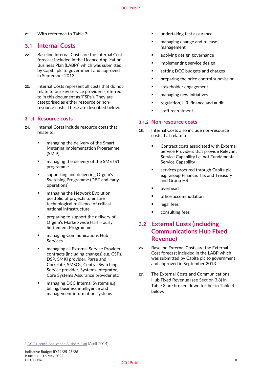**21.** With reference to Table 3:

### **3.1 Internal Costs**

- **22.** Baseline Internal Costs are the Internal Cost forecast included in the Licence Application Business Plan (LABP)<sup>5</sup> which was submitted by Capita plc to government and approved in September 2013.
- **23.** Internal Costs represent all costs that do not relate to our key service providers (referred to in this document as 'FSPs'). They are categorised as either resource or nonresource costs. These are described below.

#### **3.1.1 Resource costs**

- **24.** Internal Costs include resource costs that relate to:
	- managing the delivery of the Smart Metering Implementation Programme (SMIP)
	- managing the delivery of the SMETS1 programme
	- supporting and delivering Ofgem's Switching Programme (DBT and early operations)
	- managing the Network Evolution portfolio of projects to ensure technological resilience of critical national infrastructure
	- preparing to support the delivery of Ofgem's Market-wide Half Hourly Settlement Programme
	- managing Communications Hub Services
	- managing all External Service Provider contracts (including changes) e.g. CSPs, DSP, SMKI provider, Parse and Correlate, SMSOs, Central Switching Service provider, Systems Integrator, Core Systems Assurance provider etc
	- managing DCC Internal Systems e.g. billing, business intelligence and management information systems
- undertaking test assurance
- managing change and release management
- applying design governance
- implementing service design
- setting DCC budgets and charges
- preparing the price control submission
- stakeholder engagement
- managing new initiatives
- regulation, HR, finance and audit
- staff recruitment.

#### **3.1.2 Non-resource costs**

- **25.** Internal Costs also include non-resource costs that relate to:
	- Contract costs associated with External Service Providers that provide Relevant Service Capability i.e. not Fundamental Service Capability
	- services procured through Capita plc e.g. Group Finance, Tax and Treasury and Group HR
	- overhead
	- office accommodation
	- legal fees
	- consulting fees.

## **3.2 External Costs (including Communications Hub Fixed Revenue)**

- **26.** Baseline External Costs are the External Cost forecast included in the LABP which was submitted by Capita plc to government and approved in September 2013.
- **27.** The External Costs and Communications Hub Fixed Revenue (see [Section 3.8\)](#page-9-0) in Table 3 are broken down further in Table 4 below:

<sup>5</sup> [DCC Licence Application Business Plan](https://www.smartdcc.co.uk/media/1439/redacted_licence_application_business_plan_-_30_april_2014_2_.pdf) (April 2014)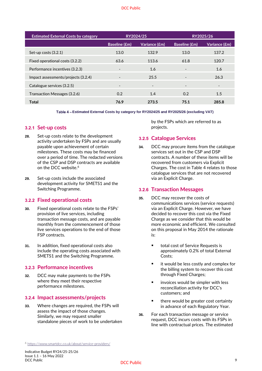| RY2024/25                |                          |                          | RY2025/26                |
|--------------------------|--------------------------|--------------------------|--------------------------|
| <b>Baseline (£m)</b>     | Variance (£m)            | <b>Baseline (£m)</b>     | Variance (£m)            |
| 13.0                     | 132.9                    | 13.0                     | 137.2                    |
| 63.6                     | 113.6                    | 61.8                     | 120.7                    |
| $\blacksquare$           | 1.6                      | $\overline{\phantom{a}}$ | 1.6                      |
| $\overline{\phantom{a}}$ | 25.5                     | $\overline{\phantom{a}}$ | 26.3                     |
| $\overline{\phantom{a}}$ | $\overline{\phantom{a}}$ | $\overline{\phantom{a}}$ | $\overline{\phantom{a}}$ |
| 0.2                      | 1.4                      | 0.2                      | 1.5                      |
| 76.9                     | 273.5                    | 75.1                     | 285.8                    |
|                          |                          |                          |                          |

**Estimated External Costs by category for RY2024/25 and RY2025/26 (excluding VAT)**

#### **3.2.1 Set-up costs**

- **28.** Set-up costs relate to the development activity undertaken by FSPs and are usually payable upon achievement of certain milestones. These costs may be financed over a period of time. The redacted versions of the CSP and DSP contracts are available on the DCC website.<sup>6</sup>
- **29.** Set-up costs include the associated development activity for SMETS1 and the Switching Programme.

#### **3.2.2 Fixed operational costs**

- **30.** Fixed operational costs relate to the FSPs' provision of live services, including transaction message costs, and are payable monthly from the commencement of those live services operations to the end of those FSP contracts.
- **31.** In addition, fixed operational costs also include the operating costs associated with SMETS1 and the Switching Programme.

#### **3.2.3 Performance incentives**

**32.** DCC may make payments to the FSPs where they meet their respective performance milestones.

#### **3.2.4 Impact assessments/projects**

**33.** Where changes are required, the FSPs will assess the impact of those changes. Similarly, we may request smaller standalone pieces of work to be undertaken by the FSPs which are referred to as projects.

#### **3.2.5 Catalogue Services**

**34.** DCC may procure items from the catalogue services set out in the CSP and DSP contracts. A number of these items will be recovered from customers via Explicit Charges. The cost in Table 4 relates to those catalogue services that are not recovered via an Explicit Charge.

#### **3.2.6 Transaction Messages**

- **35.** DCC may recover the costs of communications services (service requests) via an Explicit Charge. However, we have decided to recover this cost via the Fixed Charge as we consider that this would be more economic and efficient. We consulted on this proposal in May 2014 the rationale is:
	- total cost of Service Requests is approximately 0.2% of total External Costs;
	- it would be less costly and complex for the billing system to recover this cost through Fixed Charges;
	- invoices would be simpler with less reconciliation activity for DCC's customers; and
	- there would be greater cost certainty in advance of each Regulatory Year.
- **36.** For each transaction message or service request, DCC incurs costs with its FSPs in line with contractual prices. The estimated

<sup>6</sup> <https://www.smartdcc.co.uk/about/service-providers/>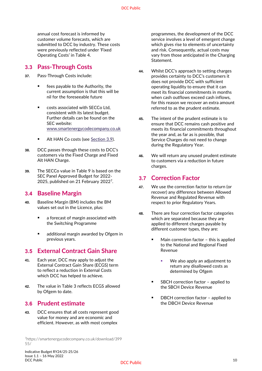annual cost forecast is informed by customer volume forecasts, which are submitted to DCC by industry. These costs were previously reflected under 'Fixed Operating Costs' in Table 4.

### **3.3 Pass-Through Costs**

- **37.** Pass-Through Costs include:
	- fees payable to the Authority, the current assumption is that this will be nil for the foreseeable future
	- costs associated with SECCo Ltd, consistent with its latest budget. Further details can be found on the SEC website: [www.smartenergycodecompany.co.uk](http://www.smartenergycodecompany.co.uk/)
	- Alt HAN Co costs (see Section 3.9).
- **38.** DCC passes through these costs to DCC's customers via the Fixed Charge and Fixed Alt HAN Charge.
- **39.** The SECCo value in Table 9 is based on the SEC Panel Approved Budget for 2022- 2025, published on 21 February 2022<sup>7</sup>.

### **3.4 Baseline Margin**

- **40.** Baseline Margin (BM) includes the BM values set out in the Licence, plus:
	- a forecast of margin associated with the Switching Programme
	- additional margin awarded by Ofgem in previous years.

### **3.5 External Contract Gain Share**

- **41.** Each year, DCC may apply to adjust the External Contract Gain Share (ECGS) term to reflect a reduction in External Costs which DCC has helped to achieve.
- **42.** The value in Table 3 reflects ECGS allowed by Ofgem to date.

### **3.6 Prudent estimate**

**43.** DCC ensures that all costs represent good value for money and are economic and efficient. However, as with most complex

<sup>7</sup>https://smartenergycodecompany.co.uk/download/399 55/

- **44.** Whilst DCC's approach to setting charges provides certainty to DCC's customers it does not provide DCC with sufficient operating liquidity to ensure that it can meet its financial commitments in months when cash outflows exceed cash inflows, for this reason we recover an extra amount referred to as the prudent estimate.
- **45.** The intent of the prudent estimate is to ensure that DCC remains cash positive and meets its financial commitments throughout the year and, as far as is possible, that Service Charges do not need to change during the Regulatory Year.
- **46.** We will return any unused prudent estimate to customers via a reduction in future charges.

### <span id="page-9-0"></span>**3.7 Correction Factor**

- **47.** We use the correction factor to return (or recover) any difference between Allowed Revenue and Regulated Revenue with respect to prior Regulatory Years.
- **48.** There are four correction factor categories which are separated because they are applied to different charges payable by different customer types, they are:
	- Main correction factor this is applied to the National and Regional Fixed Revenue
		- We also apply an adjustment to return any disallowed costs as determined by Ofgem
	- SBCH correction factor applied to the SBCH Device Revenue
	- DBCH correction factor applied to the DBCH Device Revenue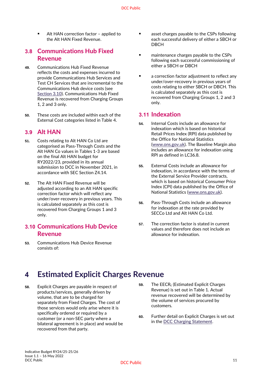Alt HAN correction factor - applied to the Alt HAN Fixed Revenue.

### **3.8 Communications Hub Fixed Revenue**

- **49.** Communications Hub Fixed Revenue reflects the costs and expenses incurred to provide Communications Hub Services and Test CH Services that are incremental to the Communications Hub device costs (see Section 3.10). Communications Hub Fixed Revenue is recovered from Charging Groups 1, 2 and 3 only.
- **50.** These costs are included within each of the External Cost categories listed in Table 4.

### **3.9 Alt HAN**

- **51.** Costs relating to Alt HAN Co Ltd are categorised as Pass-Through Costs and the Alt HAN Co values in Tables 1-3 are based on the final Alt HAN budget for RY2022/23, provided in its annual submission to DCC in November 2021, in accordance with SEC Section Z4.14.
- **52.** The Alt HAN Fixed Revenue will be adjusted according to an Alt HAN specific correction factor which will reflect any under/over-recovery in previous years. This is calculated separately as this cost is recovered from Charging Groups 1 and 3 only.

## **3.10 Communications Hub Device Revenue**

**53.** Communications Hub Device Revenue consists of:

- asset charges payable to the CSPs following each successful delivery of either a SBCH or DBCH
- maintenance charges payable to the CSPs following each successful commissioning of either a SBCH or DBCH
- a correction factor adjustment to reflect any under/over-recovery in previous years of costs relating to either SBCH or DBCH. This is calculated separately as this cost is recovered from Charging Groups 1, 2 and 3 only.

### **3.11 Indexation**

- **54.** Internal Costs include an allowance for indexation which is based on historical Retail Prices Index (RPI) data published by the Office for National Statistics [\(www.ons.gov.uk\)](http://www.ons.gov.uk/). The Baseline Margin also includes an allowance for indexation using RPI as defined in LC36.8.
- **55.** External Costs include an allowance for indexation, in accordance with the terms of the External Service Provider contracts, which is based on historical Consumer Price Index (CPI) data published by the Office of National Statistics [\(www.ons.gov.uk\)](http://www.ons.gov.uk/).
- **56.** Pass-Through Costs include an allowance for indexation at the rate provided by SECCo Ltd and Alt HAN Co Ltd.
- **57.** The correction factor is stated in current values and therefore does not include an allowance for indexation.

# <span id="page-10-0"></span>**4 Estimated Explicit Charges Revenue**

- **58.** Explicit Charges are payable in respect of products/services, generally driven by volume, that are to be charged for separately from Fixed Charges. The cost of those services would only arise where it is specifically ordered or required by a customer (or a non-SEC party where a bilateral agreement is in place) and would be recovered from that party.
- 59. The EECR<sub>t</sub> (Estimated Explicit Charges Revenue) is set out in Table 1. Actual revenue recovered will be determined by the volume of services procured by customers.
- **60.** Further detail on Explicit Charges is set out in the [DCC Charging Statement](https://www.smartdcc.co.uk/document-centre/charging-methodology-statements-budgets/charging-statements/).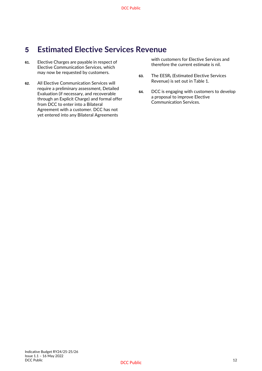# <span id="page-11-0"></span>**5 Estimated Elective Services Revenue**

- **61.** Elective Charges are payable in respect of Elective Communication Services, which may now be requested by customers.
- **62.** All Elective Communication Services will require a preliminary assessment, Detailed Evaluation (if necessary, and recoverable through an Explicit Charge) and formal offer from DCC to enter into a Bilateral Agreement with a customer. DCC has not yet entered into any Bilateral Agreements

with customers for Elective Services and therefore the current estimate is nil.

- **63.** The EESR<sup>t</sup> (Estimated Elective Services Revenue) is set out in Table 1.
- **64.** DCC is engaging with customers to develop a proposal to improve Elective Communication Services.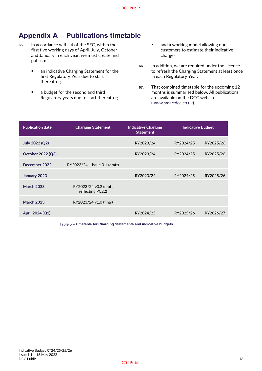# <span id="page-12-0"></span>**Appendix A – Publications timetable**

- **65.** In accordance with J4 of the SEC, within the first five working days of April, July, October and January in each year, we must create and publish:
	- an indicative Charging Statement for the first Regulatory Year due to start thereafter;
	- a budget for the second and third Regulatory years due to start thereafter;
- and a working model allowing our customers to estimate their indicative charges.
- **66.** In addition, we are required under the Licence to refresh the Charging Statement at least once in each Regulatory Year.
- **67.** That combined timetable for the upcoming 12 months is summarised below. All publications are available on the DCC website [\(www.smartdcc.co.uk\).](http://www.smartdcc.co.uk/)

| <b>Publication date</b><br><b>Charging Statement</b> |                                           | <b>Indicative Charging</b><br><b>Statement</b> | <b>Indicative Budget</b> |           |
|------------------------------------------------------|-------------------------------------------|------------------------------------------------|--------------------------|-----------|
| July 2022 (Q2)                                       |                                           | RY2023/24                                      | RY2024/25                | RY2025/26 |
| October 2022 (Q3)                                    |                                           | RY2023/24                                      | RY2024/25                | RY2025/26 |
| December 2022                                        | RY2023/24 - issue 0.1 (draft)             |                                                |                          |           |
| January 2023                                         |                                           | RY2023/24                                      | RY2024/25                | RY2025/26 |
| <b>March 2023</b>                                    | RY2023/24 v0.2 (draft<br>reflecting PC22) |                                                |                          |           |
| <b>March 2023</b>                                    | RY2023/24 v1.0 (final)                    |                                                |                          |           |
| April 2024 (Q1)                                      |                                           | RY2024/25                                      | RY2025/26                | RY2026/27 |

Table 5 - Timetable for Charging Statements and indicative budgets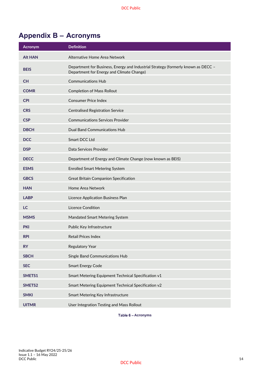# <span id="page-13-0"></span>**Appendix B – Acronyms**

| <b>Acronym</b> | <b>Definition</b>                                                                                                              |
|----------------|--------------------------------------------------------------------------------------------------------------------------------|
| <b>Alt HAN</b> | Alternative Home Area Network                                                                                                  |
| <b>BEIS</b>    | Department for Business, Energy and Industrial Strategy (formerly known as DECC -<br>Department for Energy and Climate Change) |
| <b>CH</b>      | <b>Communications Hub</b>                                                                                                      |
| <b>COMR</b>    | <b>Completion of Mass Rollout</b>                                                                                              |
| <b>CPI</b>     | <b>Consumer Price Index</b>                                                                                                    |
| <b>CRS</b>     | <b>Centralised Registration Service</b>                                                                                        |
| <b>CSP</b>     | <b>Communications Services Provider</b>                                                                                        |
| <b>DBCH</b>    | <b>Dual Band Communications Hub</b>                                                                                            |
| <b>DCC</b>     | Smart DCC Ltd                                                                                                                  |
| <b>DSP</b>     | Data Services Provider                                                                                                         |
| <b>DECC</b>    | Department of Energy and Climate Change (now known as BEIS)                                                                    |
| <b>ESMS</b>    | <b>Enrolled Smart Metering System</b>                                                                                          |
| <b>GBCS</b>    | <b>Great Britain Companion Specification</b>                                                                                   |
| <b>HAN</b>     | Home Area Network                                                                                                              |
| <b>LABP</b>    | Licence Application Business Plan                                                                                              |
| <b>LC</b>      | <b>Licence Condition</b>                                                                                                       |
| <b>MSMS</b>    | Mandated Smart Metering System                                                                                                 |
| <b>PKI</b>     | Public Key Infrastructure                                                                                                      |
| <b>RPI</b>     | <b>Retail Prices Index</b>                                                                                                     |
| <b>RY</b>      | <b>Regulatory Year</b>                                                                                                         |
| <b>SBCH</b>    | Single Band Communications Hub                                                                                                 |
| <b>SEC</b>     | <b>Smart Energy Code</b>                                                                                                       |
| SMETS1         | Smart Metering Equipment Technical Specification v1                                                                            |
| SMETS2         | Smart Metering Equipment Technical Specification v2                                                                            |
| <b>SMKI</b>    | Smart Metering Key Infrastructure                                                                                              |
| <b>UITMR</b>   | User Integration Testing and Mass Rollout                                                                                      |

Table 6 - Acronyms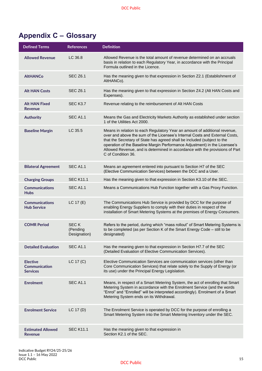# <span id="page-14-0"></span>**Appendix C – Glossary**

| <b>Defined Terms</b>                                       | <b>References</b>                       | <b>Definition</b>                                                                                                                                                                                                                                                                                                                                                                                                         |
|------------------------------------------------------------|-----------------------------------------|---------------------------------------------------------------------------------------------------------------------------------------------------------------------------------------------------------------------------------------------------------------------------------------------------------------------------------------------------------------------------------------------------------------------------|
| <b>Allowed Revenue</b>                                     | LC 36.8                                 | Allowed Revenue is the total amount of revenue determined on an accruals<br>basis in relation to each Regulatory Year, in accordance with the Principal<br>Formula outlined in the Licence.                                                                                                                                                                                                                               |
| <b>AltHANCo</b>                                            | <b>SEC Z6.1</b>                         | Has the meaning given to that expression in Section Z2.1 (Establishment of<br>AltHANCo).                                                                                                                                                                                                                                                                                                                                  |
| <b>Alt HAN Costs</b>                                       | <b>SEC Z6.1</b>                         | Has the meaning given to that expression in Section Z4.2 (Alt HAN Costs and<br>Expenses).                                                                                                                                                                                                                                                                                                                                 |
| <b>Alt HAN Fixed</b><br>Revenue                            | SEC K3.7                                | Revenue relating to the reimbursement of Alt HAN Costs                                                                                                                                                                                                                                                                                                                                                                    |
| <b>Authority</b>                                           | <b>SEC A1.1</b>                         | Means the Gas and Electricity Markets Authority as established under section<br>1 of the Utilities Act 2000.                                                                                                                                                                                                                                                                                                              |
| <b>Baseline Margin</b>                                     | LC 35.5                                 | Means in relation to each Regulatory Year an amount of additional revenue,<br>over and above the sum of the Licensee's Internal Costs and External Costs,<br>that the Secretary of State has agreed shall be included (subject to the<br>operation of the Baseline Margin Performance Adjustment) in the Licensee's<br>Allowed Revenue, and is determined in accordance with the provisions of Part<br>C of Condition 36. |
| <b>Bilateral Agreement</b>                                 | <b>SEC A1.1</b>                         | Means an agreement entered into pursuant to Section H7 of the SEC<br>(Elective Communication Services) between the DCC and a User.                                                                                                                                                                                                                                                                                        |
| <b>Charging Groups</b>                                     | <b>SEC K11.1</b>                        | Has the meaning given to that expression in Section K3.10 of the SEC.                                                                                                                                                                                                                                                                                                                                                     |
| <b>Communications</b><br><b>Hubs</b>                       | <b>SEC A1.1</b>                         | Means a Communications Hub Function together with a Gas Proxy Function.                                                                                                                                                                                                                                                                                                                                                   |
| <b>Communications</b><br><b>Hub Service</b>                | LC 17(E)                                | The Communications Hub Service is provided by DCC for the purpose of<br>enabling Energy Suppliers to comply with their duties in respect of the<br>installation of Smart Metering Systems at the premises of Energy Consumers.                                                                                                                                                                                            |
| <b>COMR Period</b>                                         | <b>SECK</b><br>(Pending<br>Designation) | Refers to the period, during which "mass rollout" of Smart Metering Systems is<br>to be completed (as per Section K of the Smart Energy Code - still to be<br>designated)                                                                                                                                                                                                                                                 |
| <b>Detailed Evaluation</b>                                 | <b>SEC A1.1</b>                         | Has the meaning given to that expression in Section H7.7 of the SEC<br>(Detailed Evaluation of Elective Communication Services).                                                                                                                                                                                                                                                                                          |
| <b>Elective</b><br><b>Communication</b><br><b>Services</b> | LC 17 (C)                               | Elective Communication Services are communication services (other than<br>Core Communication Services) that relate solely to the Supply of Energy (or<br>its use) under the Principal Energy Legislation.                                                                                                                                                                                                                 |
| <b>Enrolment</b>                                           | <b>SEC A1.1</b>                         | Means, in respect of a Smart Metering System, the act of enrolling that Smart<br>Metering System in accordance with the Enrolment Service (and the words<br>"Enrol" and "Enrolled" will be interpreted accordingly). Enrolment of a Smart<br>Metering System ends on its Withdrawal.                                                                                                                                      |
| <b>Enrolment Service</b>                                   | LC $17(D)$                              | The Enrolment Service is operated by DCC for the purpose of enrolling a<br>Smart Metering System into the Smart Metering Inventory under the SEC.                                                                                                                                                                                                                                                                         |
| <b>Estimated Allowed</b><br>Revenue                        | <b>SEC K11.1</b>                        | Has the meaning given to that expression in<br>Section K2.1 of the SEC.                                                                                                                                                                                                                                                                                                                                                   |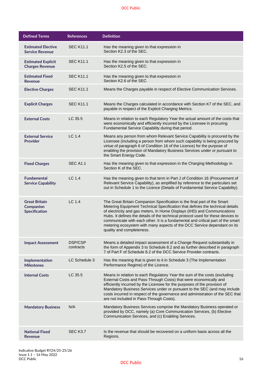| <b>Defined Terms</b>                                             | <b>References</b>           | <b>Definition</b>                                                                                                                                                                                                                                                                                                                                                                                                                                                                                                     |
|------------------------------------------------------------------|-----------------------------|-----------------------------------------------------------------------------------------------------------------------------------------------------------------------------------------------------------------------------------------------------------------------------------------------------------------------------------------------------------------------------------------------------------------------------------------------------------------------------------------------------------------------|
| <b>Estimated Elective</b><br><b>Service Revenue</b>              | <b>SEC K11.1</b>            | Has the meaning given to that expression in<br>Section K2.3 of the SEC.                                                                                                                                                                                                                                                                                                                                                                                                                                               |
| <b>Estimated Explicit</b><br><b>Charges Revenue</b>              | <b>SEC K11.1</b>            | Has the meaning given to that expression in<br>Section K2.5 of the SEC.                                                                                                                                                                                                                                                                                                                                                                                                                                               |
| <b>Estimated Fixed</b><br><b>Revenue</b>                         | <b>SEC K11.1</b>            | Has the meaning given to that expression in<br>Section K2.6 of the SEC.                                                                                                                                                                                                                                                                                                                                                                                                                                               |
| <b>Elective Charges</b>                                          | <b>SEC K11.1</b>            | Means the Charges payable in respect of Elective Communication Services.                                                                                                                                                                                                                                                                                                                                                                                                                                              |
| <b>Explicit Charges</b>                                          | <b>SEC K11.1</b>            | Means the Charges calculated in accordance with Section K7 of the SEC, and<br>payable in respect of the Explicit Charging Metrics.                                                                                                                                                                                                                                                                                                                                                                                    |
| <b>External Costs</b>                                            | LC 35.5                     | Means in relation to each Regulatory Year the actual amount of the costs that<br>were economically and efficiently incurred by the Licensee in procuring<br>Fundamental Service Capability during that period.                                                                                                                                                                                                                                                                                                        |
| <b>External Service</b><br><b>Provider</b>                       | LC 1.4                      | Means any person from whom Relevant Service Capability is procured by the<br>Licensee (including a person from whom such capability is being procured by<br>virtue of paragraph 6 of Condition 16 of the Licence) for the purpose of<br>enabling the provision of Mandatory Business Services under or pursuant to<br>the Smart Energy Code.                                                                                                                                                                          |
| <b>Fixed Charges</b>                                             | <b>SEC A1.1</b>             | Has the meaning given to that expression in the Charging Methodology in<br>Section K of the SEC.                                                                                                                                                                                                                                                                                                                                                                                                                      |
| <b>Fundamental</b><br><b>Service Capability</b>                  | LC 1.4                      | Has the meaning given to that term in Part J of Condition 16 (Procurement of<br>Relevant Service Capability), as amplified by reference to the particulars set<br>out in Schedule 1 to the Licence (Details of Fundamental Service Capability).                                                                                                                                                                                                                                                                       |
| <b>Great Britain</b><br><b>Companion</b><br><b>Specification</b> | LC 1.4                      | The Great Britain Companion Specification is the final part of the Smart<br>Metering Equipment Technical Specification that defines the technical details<br>of electricity and gas meters, In Home Displays (IHD) and Communications<br>Hubs. It defines the details of the technical protocol used for these devices to<br>communicate with each other. It is a fundamental and critical part of the smart<br>metering ecosystem with many aspects of the DCC Service dependant on its<br>quality and completeness. |
| <b>Impact Assessment</b>                                         | <b>DSP/CSP</b><br>contracts | Means a detailed impact assessment of a Change Request substantially in<br>the form of Appendix 3 to Schedule 8.2 and as further described in paragraph<br>7 of Part F of Schedule 8.2 of the DCC Service Provider contracts.                                                                                                                                                                                                                                                                                         |
| Implementation<br><b>Milestones</b>                              | LC Schedule 3               | Has the meaning that is given to it in Schedule 3 (The Implementation<br>Performance Regime) of the Licence.                                                                                                                                                                                                                                                                                                                                                                                                          |
| <b>Internal Costs</b>                                            | LC 35.5                     | Means in relation to each Regulatory Year the sum of the costs (excluding<br>External Costs and Pass-Through Costs) that were economically and<br>efficiently incurred by the Licensee for the purposes of the provision of<br>Mandatory Business Services under or pursuant to the SEC (and may include<br>costs incurred in respect of the governance and administration of the SEC that<br>are not included in Pass-Through Costs).                                                                                |
| <b>Mandatory Business</b>                                        | N/A                         | Mandatory Business Services comprise the Mandatory Business operated or<br>provided by DCC, namely (a) Core Communication Services, (b) Elective<br>Communication Services, and (c) Enabling Services.                                                                                                                                                                                                                                                                                                                |
| <b>National Fixed</b><br><b>Revenue</b>                          | <b>SEC K3.7</b>             | Is the revenue that should be recovered on a uniform basis across all the<br>Regions.                                                                                                                                                                                                                                                                                                                                                                                                                                 |